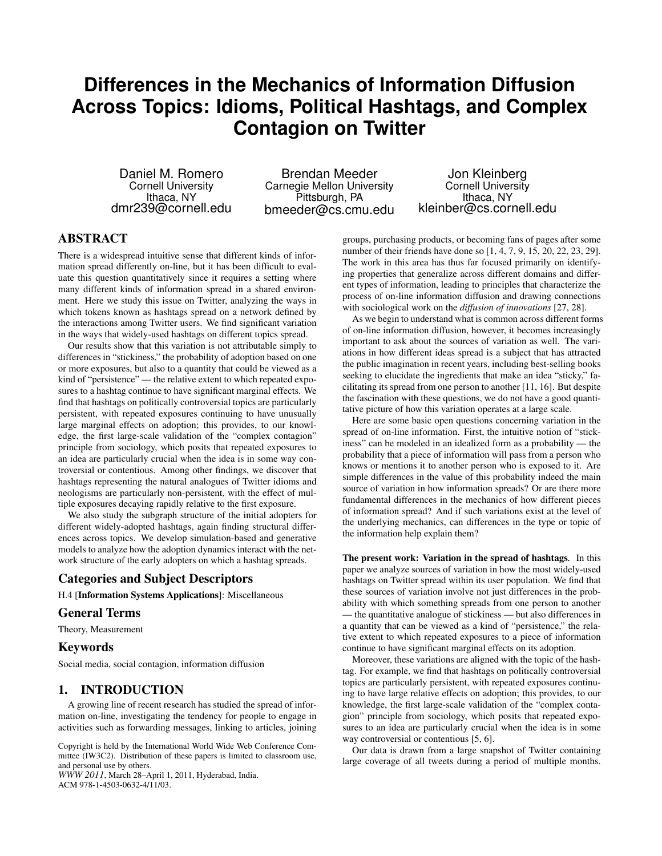# **Differences in the Mechanics of Information Diffusion Across Topics: Idioms, Political Hashtags, and Complex Contagion on Twitter**

Daniel M. Romero Cornell University Ithaca, NY dmr239@cornell.edu

Brendan Meeder Carnegie Mellon University Pittsburgh, PA bmeeder@cs.cmu.edu

Jon Kleinberg Cornell University Ithaca, NY kleinber@cs.cornell.edu

# ABSTRACT

There is a widespread intuitive sense that different kinds of information spread differently on-line, but it has been difficult to evaluate this question quantitatively since it requires a setting where many different kinds of information spread in a shared environment. Here we study this issue on Twitter, analyzing the ways in which tokens known as hashtags spread on a network defined by the interactions among Twitter users. We find significant variation in the ways that widely-used hashtags on different topics spread.

Our results show that this variation is not attributable simply to differences in "stickiness," the probability of adoption based on one or more exposures, but also to a quantity that could be viewed as a kind of "persistence" — the relative extent to which repeated exposures to a hashtag continue to have significant marginal effects. We find that hashtags on politically controversial topics are particularly persistent, with repeated exposures continuing to have unusually large marginal effects on adoption; this provides, to our knowledge, the first large-scale validation of the "complex contagion" principle from sociology, which posits that repeated exposures to an idea are particularly crucial when the idea is in some way controversial or contentious. Among other findings, we discover that hashtags representing the natural analogues of Twitter idioms and neologisms are particularly non-persistent, with the effect of multiple exposures decaying rapidly relative to the first exposure.

We also study the subgraph structure of the initial adopters for different widely-adopted hashtags, again finding structural differences across topics. We develop simulation-based and generative models to analyze how the adoption dynamics interact with the network structure of the early adopters on which a hashtag spreads.

# Categories and Subject Descriptors

H.4 [Information Systems Applications]: Miscellaneous

### General Terms

Theory, Measurement

# Keywords

Social media, social contagion, information diffusion

# 1. INTRODUCTION

A growing line of recent research has studied the spread of information on-line, investigating the tendency for people to engage in activities such as forwarding messages, linking to articles, joining

Copyright is held by the International World Wide Web Conference Committee (IW3C2). Distribution of these papers is limited to classroom use, and personal use by others.

*WWW 2011*, March 28–April 1, 2011, Hyderabad, India. ACM 978-1-4503-0632-4/11/03.

groups, purchasing products, or becoming fans of pages after some number of their friends have done so [1, 4, 7, 9, 15, 20, 22, 23, 29]. The work in this area has thus far focused primarily on identifying properties that generalize across different domains and different types of information, leading to principles that characterize the process of on-line information diffusion and drawing connections with sociological work on the *diffusion of innovations* [27, 28].

As we begin to understand what is common across different forms of on-line information diffusion, however, it becomes increasingly important to ask about the sources of variation as well. The variations in how different ideas spread is a subject that has attracted the public imagination in recent years, including best-selling books seeking to elucidate the ingredients that make an idea "sticky," facilitating its spread from one person to another [11, 16]. But despite the fascination with these questions, we do not have a good quantitative picture of how this variation operates at a large scale.

Here are some basic open questions concerning variation in the spread of on-line information. First, the intuitive notion of "stickiness" can be modeled in an idealized form as a probability — the probability that a piece of information will pass from a person who knows or mentions it to another person who is exposed to it. Are simple differences in the value of this probability indeed the main source of variation in how information spreads? Or are there more fundamental differences in the mechanics of how different pieces of information spread? And if such variations exist at the level of the underlying mechanics, can differences in the type or topic of the information help explain them?

The present work: Variation in the spread of hashtags*.* In this paper we analyze sources of variation in how the most widely-used hashtags on Twitter spread within its user population. We find that these sources of variation involve not just differences in the probability with which something spreads from one person to another — the quantitative analogue of stickiness — but also differences in a quantity that can be viewed as a kind of "persistence," the relative extent to which repeated exposures to a piece of information continue to have significant marginal effects on its adoption.

Moreover, these variations are aligned with the topic of the hashtag. For example, we find that hashtags on politically controversial topics are particularly persistent, with repeated exposures continuing to have large relative effects on adoption; this provides, to our knowledge, the first large-scale validation of the "complex contagion" principle from sociology, which posits that repeated exposures to an idea are particularly crucial when the idea is in some way controversial or contentious [5, 6].

Our data is drawn from a large snapshot of Twitter containing large coverage of all tweets during a period of multiple months.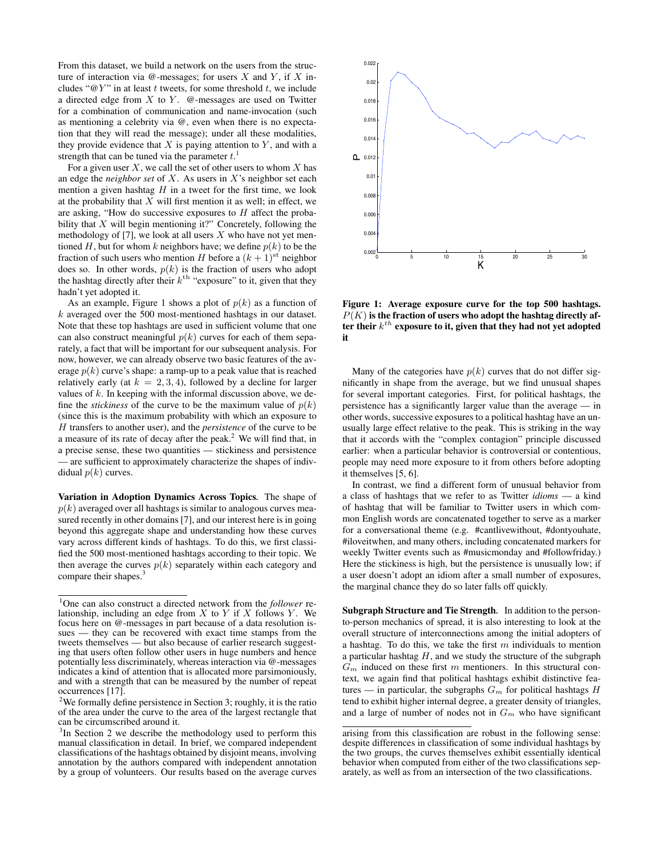From this dataset, we build a network on the users from the structure of interaction via  $\omega$ -messages; for users X and Y, if X includes " $@Y$ " in at least t tweets, for some threshold t, we include a directed edge from  $X$  to  $Y$ . @-messages are used on Twitter for a combination of communication and name-invocation (such as mentioning a celebrity via @, even when there is no expectation that they will read the message); under all these modalities, they provide evidence that  $X$  is paying attention to  $Y$ , and with a strength that can be tuned via the parameter  $t<sup>1</sup>$ .

For a given user  $X$ , we call the set of other users to whom  $X$  has an edge the *neighbor set* of X. As users in X's neighbor set each mention a given hashtag  $H$  in a tweet for the first time, we look at the probability that  $X$  will first mention it as well; in effect, we are asking, "How do successive exposures to  $H$  affect the probability that  $X$  will begin mentioning it?" Concretely, following the methodology of [7], we look at all users  $X$  who have not yet mentioned H, but for whom k neighbors have; we define  $p(k)$  to be the fraction of such users who mention H before a  $(k + 1)$ <sup>st</sup> neighbor does so. In other words,  $p(k)$  is the fraction of users who adopt the hashtag directly after their  $k^{\text{th}}$  "exposure" to it, given that they hadn't yet adopted it.

As an example, Figure 1 shows a plot of  $p(k)$  as a function of  $k$  averaged over the 500 most-mentioned hashtags in our dataset. Note that these top hashtags are used in sufficient volume that one can also construct meaningful  $p(k)$  curves for each of them separately, a fact that will be important for our subsequent analysis. For now, however, we can already observe two basic features of the average  $p(k)$  curve's shape: a ramp-up to a peak value that is reached relatively early (at  $k = 2, 3, 4$ ), followed by a decline for larger values of  $k$ . In keeping with the informal discussion above, we define the *stickiness* of the curve to be the maximum value of  $p(k)$ (since this is the maximum probability with which an exposure to H transfers to another user), and the *persistence* of the curve to be a measure of its rate of decay after the peak.<sup>2</sup> We will find that, in a precise sense, these two quantities — stickiness and persistence — are sufficient to approximately characterize the shapes of indivdidual  $p(k)$  curves.

Variation in Adoption Dynamics Across Topics*.* The shape of  $p(k)$  averaged over all hashtags is similar to analogous curves measured recently in other domains [7], and our interest here is in going beyond this aggregate shape and understanding how these curves vary across different kinds of hashtags. To do this, we first classified the 500 most-mentioned hashtags according to their topic. We then average the curves  $p(k)$  separately within each category and compare their shapes.<sup>3</sup>



Figure 1: Average exposure curve for the top 500 hashtags.  $P(K)$  is the fraction of users who adopt the hashtag directly after their  $k^{th}$  exposure to it, given that they had not yet adopted it

Many of the categories have  $p(k)$  curves that do not differ significantly in shape from the average, but we find unusual shapes for several important categories. First, for political hashtags, the persistence has a significantly larger value than the average — in other words, successive exposures to a political hashtag have an unusually large effect relative to the peak. This is striking in the way that it accords with the "complex contagion" principle discussed earlier: when a particular behavior is controversial or contentious, people may need more exposure to it from others before adopting it themselves [5, 6].

In contrast, we find a different form of unusual behavior from a class of hashtags that we refer to as Twitter *idioms* — a kind of hashtag that will be familiar to Twitter users in which common English words are concatenated together to serve as a marker for a conversational theme (e.g. #cantlivewithout, #dontyouhate, #iloveitwhen, and many others, including concatenated markers for weekly Twitter events such as #musicmonday and #followfriday.) Here the stickiness is high, but the persistence is unusually low; if a user doesn't adopt an idiom after a small number of exposures, the marginal chance they do so later falls off quickly.

Subgraph Structure and Tie Strength*.* In addition to the personto-person mechanics of spread, it is also interesting to look at the overall structure of interconnections among the initial adopters of a hashtag. To do this, we take the first  $m$  individuals to mention a particular hashtag  $H$ , and we study the structure of the subgraph  $G_m$  induced on these first m mentioners. In this structural context, we again find that political hashtags exhibit distinctive features — in particular, the subgraphs  $G_m$  for political hashtags H tend to exhibit higher internal degree, a greater density of triangles, and a large of number of nodes not in  $G_m$  who have significant

<sup>1</sup>One can also construct a directed network from the *follower* relationship, including an edge from  $X$  to  $Y$  if  $X$  follows  $Y$ . We focus here on @-messages in part because of a data resolution issues — they can be recovered with exact time stamps from the tweets themselves — but also because of earlier research suggesting that users often follow other users in huge numbers and hence potentially less discriminately, whereas interaction via @-messages indicates a kind of attention that is allocated more parsimoniously, and with a strength that can be measured by the number of repeat occurrences [17].

<sup>&</sup>lt;sup>2</sup>We formally define persistence in Section 3; roughly, it is the ratio of the area under the curve to the area of the largest rectangle that can be circumscribed around it.

 $3$ In Section 2 we describe the methodology used to perform this manual classification in detail. In brief, we compared independent classifications of the hashtags obtained by disjoint means, involving annotation by the authors compared with independent annotation by a group of volunteers. Our results based on the average curves

arising from this classification are robust in the following sense: despite differences in classification of some individual hashtags by the two groups, the curves themselves exhibit essentially identical behavior when computed from either of the two classifications separately, as well as from an intersection of the two classifications.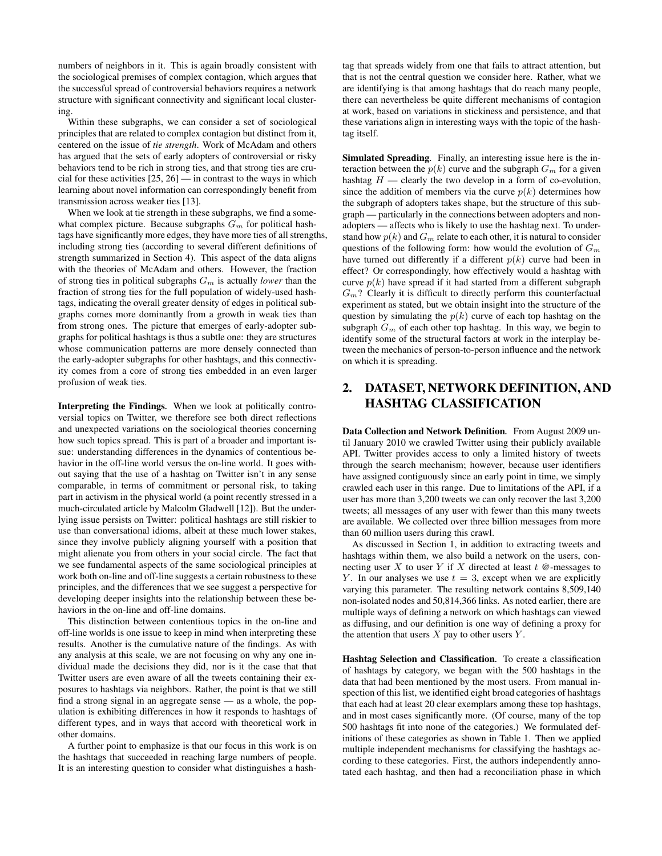numbers of neighbors in it. This is again broadly consistent with the sociological premises of complex contagion, which argues that the successful spread of controversial behaviors requires a network structure with significant connectivity and significant local clustering.

Within these subgraphs, we can consider a set of sociological principles that are related to complex contagion but distinct from it, centered on the issue of *tie strength*. Work of McAdam and others has argued that the sets of early adopters of controversial or risky behaviors tend to be rich in strong ties, and that strong ties are crucial for these activities [25, 26] — in contrast to the ways in which learning about novel information can correspondingly benefit from transmission across weaker ties [13].

When we look at tie strength in these subgraphs, we find a somewhat complex picture. Because subgraphs  $G_m$  for political hashtags have significantly more edges, they have more ties of all strengths, including strong ties (according to several different definitions of strength summarized in Section 4). This aspect of the data aligns with the theories of McAdam and others. However, the fraction of strong ties in political subgraphs  $G_m$  is actually *lower* than the fraction of strong ties for the full population of widely-used hashtags, indicating the overall greater density of edges in political subgraphs comes more dominantly from a growth in weak ties than from strong ones. The picture that emerges of early-adopter subgraphs for political hashtags is thus a subtle one: they are structures whose communication patterns are more densely connected than the early-adopter subgraphs for other hashtags, and this connectivity comes from a core of strong ties embedded in an even larger profusion of weak ties.

Interpreting the Findings*.* When we look at politically controversial topics on Twitter, we therefore see both direct reflections and unexpected variations on the sociological theories concerning how such topics spread. This is part of a broader and important issue: understanding differences in the dynamics of contentious behavior in the off-line world versus the on-line world. It goes without saying that the use of a hashtag on Twitter isn't in any sense comparable, in terms of commitment or personal risk, to taking part in activism in the physical world (a point recently stressed in a much-circulated article by Malcolm Gladwell [12]). But the underlying issue persists on Twitter: political hashtags are still riskier to use than conversational idioms, albeit at these much lower stakes, since they involve publicly aligning yourself with a position that might alienate you from others in your social circle. The fact that we see fundamental aspects of the same sociological principles at work both on-line and off-line suggests a certain robustness to these principles, and the differences that we see suggest a perspective for developing deeper insights into the relationship between these behaviors in the on-line and off-line domains.

This distinction between contentious topics in the on-line and off-line worlds is one issue to keep in mind when interpreting these results. Another is the cumulative nature of the findings. As with any analysis at this scale, we are not focusing on why any one individual made the decisions they did, nor is it the case that that Twitter users are even aware of all the tweets containing their exposures to hashtags via neighbors. Rather, the point is that we still find a strong signal in an aggregate sense — as a whole, the population is exhibiting differences in how it responds to hashtags of different types, and in ways that accord with theoretical work in other domains.

A further point to emphasize is that our focus in this work is on the hashtags that succeeded in reaching large numbers of people. It is an interesting question to consider what distinguishes a hashtag that spreads widely from one that fails to attract attention, but that is not the central question we consider here. Rather, what we are identifying is that among hashtags that do reach many people, there can nevertheless be quite different mechanisms of contagion at work, based on variations in stickiness and persistence, and that these variations align in interesting ways with the topic of the hashtag itself.

Simulated Spreading*.* Finally, an interesting issue here is the interaction between the  $p(k)$  curve and the subgraph  $G_m$  for a given hashtag  $H$  — clearly the two develop in a form of co-evolution, since the addition of members via the curve  $p(k)$  determines how the subgraph of adopters takes shape, but the structure of this subgraph — particularly in the connections between adopters and nonadopters — affects who is likely to use the hashtag next. To understand how  $p(k)$  and  $G_m$  relate to each other, it is natural to consider questions of the following form: how would the evolution of  $G_m$ have turned out differently if a different  $p(k)$  curve had been in effect? Or correspondingly, how effectively would a hashtag with curve  $p(k)$  have spread if it had started from a different subgraph  $G_m$ ? Clearly it is difficult to directly perform this counterfactual experiment as stated, but we obtain insight into the structure of the question by simulating the  $p(k)$  curve of each top hashtag on the subgraph  $G_m$  of each other top hashtag. In this way, we begin to identify some of the structural factors at work in the interplay between the mechanics of person-to-person influence and the network on which it is spreading.

# 2. DATASET, NETWORK DEFINITION, AND HASHTAG CLASSIFICATION

Data Collection and Network Definition*.* From August 2009 until January 2010 we crawled Twitter using their publicly available API. Twitter provides access to only a limited history of tweets through the search mechanism; however, because user identifiers have assigned contiguously since an early point in time, we simply crawled each user in this range. Due to limitations of the API, if a user has more than 3,200 tweets we can only recover the last 3,200 tweets; all messages of any user with fewer than this many tweets are available. We collected over three billion messages from more than 60 million users during this crawl.

As discussed in Section 1, in addition to extracting tweets and hashtags within them, we also build a network on the users, connecting user X to user Y if X directed at least  $t \omega$ -messages to Y. In our analyses we use  $t = 3$ , except when we are explicitly varying this parameter. The resulting network contains 8,509,140 non-isolated nodes and 50,814,366 links. As noted earlier, there are multiple ways of defining a network on which hashtags can viewed as diffusing, and our definition is one way of defining a proxy for the attention that users  $X$  pay to other users  $Y$ .

Hashtag Selection and Classification*.* To create a classification of hashtags by category, we began with the 500 hashtags in the data that had been mentioned by the most users. From manual inspection of this list, we identified eight broad categories of hashtags that each had at least 20 clear exemplars among these top hashtags, and in most cases significantly more. (Of course, many of the top 500 hashtags fit into none of the categories.) We formulated definitions of these categories as shown in Table 1. Then we applied multiple independent mechanisms for classifying the hashtags according to these categories. First, the authors independently annotated each hashtag, and then had a reconciliation phase in which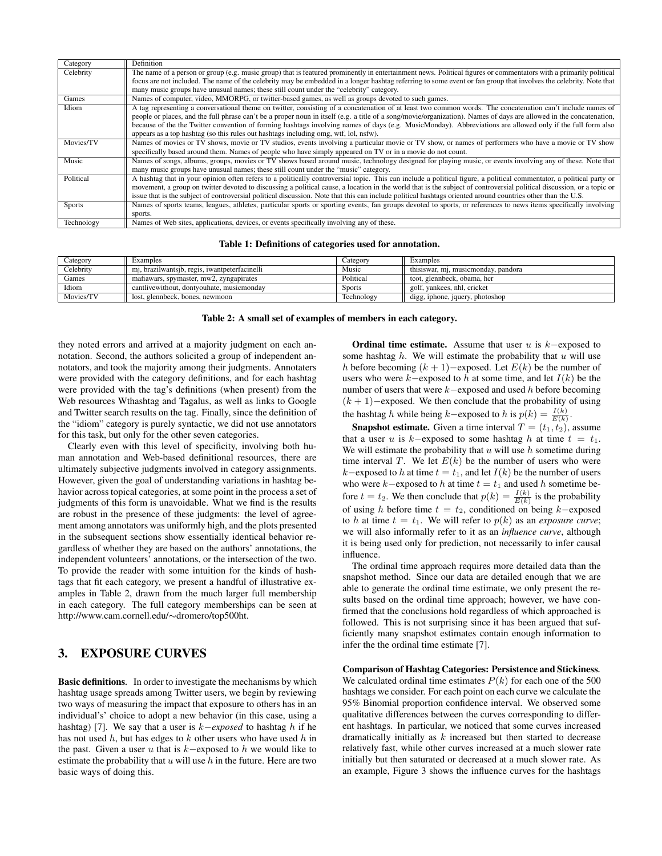| Category      | Definition                                                                                                                                                             |
|---------------|------------------------------------------------------------------------------------------------------------------------------------------------------------------------|
| Celebrity     | The name of a person or group (e.g. music group) that is featured prominently in entertainment news. Political figures or commentators with a primarily political      |
|               | focus are not included. The name of the celebrity may be embedded in a longer hashtag referring to some event or fan group that involves the celebrity. Note that      |
|               | many music groups have unusual names; these still count under the "celebrity" category.                                                                                |
| Games         | Names of computer, video, MMORPG, or twitter-based games, as well as groups devoted to such games.                                                                     |
| Idiom         | A tag representing a conversational theme on twitter, consisting of a concatenation of at least two common words. The concatenation can't include names of             |
|               | people or places, and the full phrase can't be a proper noun in itself (e.g. a title of a song/movie/organization). Names of days are allowed in the concatenation,    |
|               | because of the the Twitter convention of forming hashtags involving names of days (e.g. MusicMonday). Abbreviations are allowed only if the full form also             |
|               | appears as a top hashtag (so this rules out hashtags including omg, wtf, lol, nsfw).                                                                                   |
| Movies/TV     | Names of movies or TV shows, movie or TV studios, events involving a particular movie or TV show, or names of performers who have a movie or TV show                   |
|               | specifically based around them. Names of people who have simply appeared on TV or in a movie do not count.                                                             |
| Music         | Names of songs, albums, groups, movies or TV shows based around music, technology designed for playing music, or events involving any of these. Note that              |
|               | many music groups have unusual names; these still count under the "music" category.                                                                                    |
| Political     | A hashtag that in your opinion often refers to a politically controversial topic. This can include a political figure, a political commentator, a political party or   |
|               | movement, a group on twitter devoted to discussing a political cause, a location in the world that is the subject of controversial political discussion, or a topic or |
|               | issue that is the subject of controversial political discussion. Note that this can include political hashtags oriented around countries other than the U.S.           |
| <b>Sports</b> | Names of sports teams, leagues, athletes, particular sports or sporting events, fan groups devoted to sports, or references to news items specifically involving       |
|               | sports.                                                                                                                                                                |
| Technology    | Names of Web sites, applications, devices, or events specifically involving any of these.                                                                              |

Table 1: Definitions of categories used for annotation.

| Category  | Examples                                      | Category      | Examples                            |
|-----------|-----------------------------------------------|---------------|-------------------------------------|
| Celebrity | mj, brazilwantsjb, regis, iwantpeterfacinelli | Music         | thisiswar, mj, musicmonday, pandora |
| Games     | mafiawars, spymaster, mw2, zyngapirates       | Political     | tcot, glennbeck, obama, hcr         |
| Idiom     | cantlivewithout, dontyouhate, musicmonday     | <b>Sports</b> | golf, yankees, nhl, cricket         |
| Movies/TV | lost, glennbeck, bones, newmoon               | Technology    | digg, iphone, jquery, photoshop     |

they noted errors and arrived at a majority judgment on each annotation. Second, the authors solicited a group of independent annotators, and took the majority among their judgments. Annotaters were provided with the category definitions, and for each hashtag were provided with the tag's definitions (when present) from the Web resources Wthashtag and Tagalus, as well as links to Google and Twitter search results on the tag. Finally, since the definition of the "idiom" category is purely syntactic, we did not use annotators for this task, but only for the other seven categories.

Clearly even with this level of specificity, involving both human annotation and Web-based definitional resources, there are ultimately subjective judgments involved in category assignments. However, given the goal of understanding variations in hashtag behavior across topical categories, at some point in the process a set of judgments of this form is unavoidable. What we find is the results are robust in the presence of these judgments: the level of agreement among annotators was uniformly high, and the plots presented in the subsequent sections show essentially identical behavior regardless of whether they are based on the authors' annotations, the independent volunteers' annotations, or the intersection of the two. To provide the reader with some intuition for the kinds of hashtags that fit each category, we present a handful of illustrative examples in Table 2, drawn from the much larger full membership in each category. The full category memberships can be seen at http://www.cam.cornell.edu/∼dromero/top500ht.

# 3. EXPOSURE CURVES

Basic definitions*.* In order to investigate the mechanisms by which hashtag usage spreads among Twitter users, we begin by reviewing two ways of measuring the impact that exposure to others has in an individual's' choice to adopt a new behavior (in this case, using a hashtag) [7]. We say that a user is k−*exposed* to hashtag h if he has not used  $h$ , but has edges to  $k$  other users who have used  $h$  in the past. Given a user u that is  $k$ −exposed to h we would like to estimate the probability that  $u$  will use  $h$  in the future. Here are two basic ways of doing this.

Ordinal time estimate. Assume that user  $u$  is  $k$ −exposed to some hashtag  $h$ . We will estimate the probability that  $u$  will use h before becoming  $(k + 1)$ −exposed. Let  $E(k)$  be the number of users who were  $k$ -exposed to h at some time, and let  $I(k)$  be the number of users that were k−exposed and used h before becoming  $(k + 1)$ −exposed. We then conclude that the probability of using the hashtag h while being k–exposed to h is  $p(k) = \frac{I(k)}{E(k)}$ .

**Snapshot estimate.** Given a time interval  $T = (t_1, t_2)$ , assume that a user u is k–exposed to some hashtag h at time  $t = t_1$ . We will estimate the probability that  $u$  will use  $h$  sometime during time interval T. We let  $E(k)$  be the number of users who were k–exposed to h at time  $t = t_1$ , and let  $I(k)$  be the number of users who were k–exposed to h at time  $t = t_1$  and used h sometime before  $t = t_2$ . We then conclude that  $p(k) = \frac{I(k)}{E(k)}$  is the probability of using h before time  $t = t_2$ , conditioned on being k–exposed to h at time  $t = t_1$ . We will refer to  $p(k)$  as an *exposure curve*; we will also informally refer to it as an *influence curve*, although it is being used only for prediction, not necessarily to infer causal influence.

The ordinal time approach requires more detailed data than the snapshot method. Since our data are detailed enough that we are able to generate the ordinal time estimate, we only present the results based on the ordinal time approach; however, we have confirmed that the conclusions hold regardless of which approached is followed. This is not surprising since it has been argued that sufficiently many snapshot estimates contain enough information to infer the the ordinal time estimate [7].

Comparison of Hashtag Categories: Persistence and Stickiness*.* We calculated ordinal time estimates  $P(k)$  for each one of the 500 hashtags we consider. For each point on each curve we calculate the 95% Binomial proportion confidence interval. We observed some qualitative differences between the curves corresponding to different hashtags. In particular, we noticed that some curves increased dramatically initially as k increased but then started to decrease relatively fast, while other curves increased at a much slower rate initially but then saturated or decreased at a much slower rate. As an example, Figure 3 shows the influence curves for the hashtags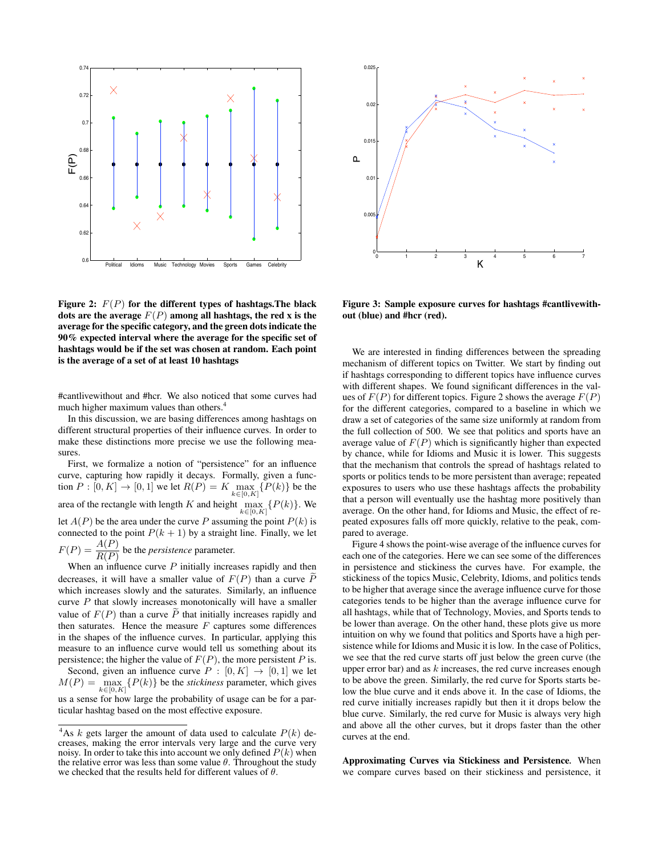

0 1 2 3 4 5 6 7 0.005 0.01 0.015 0.02 0.025 K  $\mathbf{a}$ 

Figure 2:  $F(P)$  for the different types of hashtags. The black dots are the average  $F(P)$  among all hashtags, the red x is the average for the specific category, and the green dots indicate the 90% expected interval where the average for the specific set of hashtags would be if the set was chosen at random. Each point is the average of a set of at least 10 hashtags

#cantlivewithout and #hcr. We also noticed that some curves had much higher maximum values than others.<sup>4</sup>

In this discussion, we are basing differences among hashtags on different structural properties of their influence curves. In order to make these distinctions more precise we use the following measures.

First, we formalize a notion of "persistence" for an influence curve, capturing how rapidly it decays. Formally, given a function  $P : [0, K] \to [0, 1]$  we let  $R(P) = K \max_{k \in [0, K]} \{P(k)\}$  be the area of the rectangle with length K and height  $\max_{k \in [0, K]} \{P(k)\}.$  We let  $A(P)$  be the area under the curve P assuming the point  $P(k)$  is connected to the point  $P(k + 1)$  by a straight line. Finally, we let  $F(P) = \frac{A(P)}{R(P)}$  be the *persistence* parameter.

When an influence curve  $P$  initially increases rapidly and then decreases, it will have a smaller value of  $F(P)$  than a curve P which increases slowly and the saturates. Similarly, an influence curve  $P$  that slowly increases monotonically will have a smaller value of  $F(P)$  than a curve  $\tilde{P}$  that initially increases rapidly and then saturates. Hence the measure  $F$  captures some differences in the shapes of the influence curves. In particular, applying this measure to an influence curve would tell us something about its persistence; the higher the value of  $F(P)$ , the more persistent P is.

Second, given an influence curve  $P : [0, K] \rightarrow [0, 1]$  we let  $M(P) = \max_{k \in [0, K]} \{P(k)\}\$  be the *stickiness* parameter, which gives us a sense for how large the probability of usage can be for a particular hashtag based on the most effective exposure.

Figure 3: Sample exposure curves for hashtags #cantlivewithout (blue) and #hcr (red).

mechanism of different topics on Twitter. We start by finding out We are interested in finding differences between the spreading if hashtags corresponding to different topics have influence curves with different shapes. We found significant differences in the values of  $F(P)$  for different topics. Figure 2 shows the average  $F(P)$ for the different categories, compared to a baseline in which we draw a set of categories of the same size uniformly at random from the full collection of 500. We see that politics and sports have an average value of  $F(P)$  which is significantly higher than expected by chance, while for Idioms and Music it is lower. This suggests that the mechanism that controls the spread of hashtags related to sports or politics tends to be more persistent than average; repeated exposures to users who use these hashtags affects the probability that a person will eventually use the hashtag more positively than average. On the other hand, for Idioms and Music, the effect of repeated exposures falls off more quickly, relative to the peak, compared to average.

Figure 4 shows the point-wise average of the influence curves for each one of the categories. Here we can see some of the differences in persistence and stickiness the curves have. For example, the stickiness of the topics Music, Celebrity, Idioms, and politics tends to be higher that average since the average influence curve for those categories tends to be higher than the average influence curve for all hashtags, while that of Technology, Movies, and Sports tends to be lower than average. On the other hand, these plots give us more intuition on why we found that politics and Sports have a high persistence while for Idioms and Music it is low. In the case of Politics, we see that the red curve starts off just below the green curve (the upper error bar) and as  $k$  increases, the red curve increases enough to be above the green. Similarly, the red curve for Sports starts below the blue curve and it ends above it. In the case of Idioms, the red curve initially increases rapidly but then it it drops below the blue curve. Similarly, the red curve for Music is always very high and above all the other curves, but it drops faster than the other curves at the end.

Approximating Curves via Stickiness and Persistence*.* When we compare curves based on their stickiness and persistence, it

<sup>&</sup>lt;sup>4</sup>As k gets larger the amount of data used to calculate  $P(k)$  decreases, making the error intervals very large and the curve very noisy. In order to take this into account we only defined  $P(k)$  when the relative error was less than some value  $\theta$ . Throughout the study we checked that the results held for different values of  $\theta$ .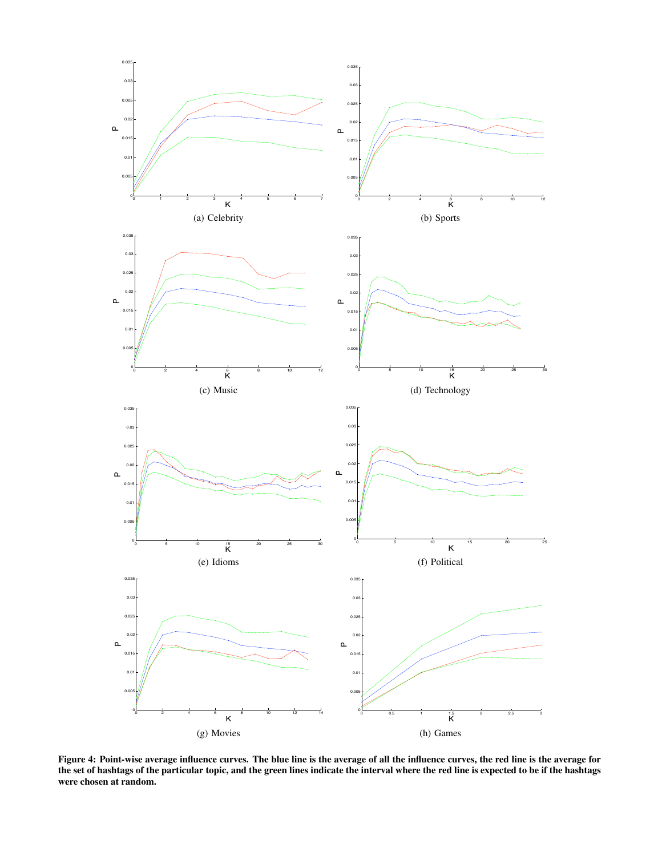

Figure 4: Point-wise average influence curves. The blue line is the average of all the influence curves, the red line is the average for the set of hashtags of the particular topic, and the green lines indicate the interval where the red line is expected to be if the hashtags were chosen at random.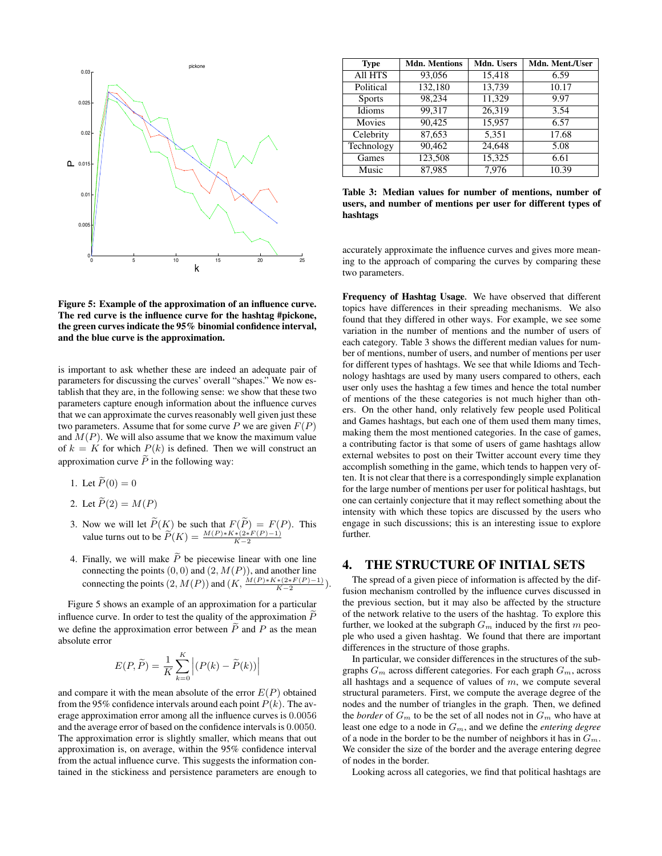

Figure 5: Example of the approximation of an influence curve. The red curve is the influence curve for the hashtag #pickone, the green curves indicate the 95% binomial confidence interval, and the blue curve is the approximation.

is important to ask whether these are indeed an adequate pair of parameters for discussing the curves' overall "shapes." We now establish that they are, in the following sense: we show that these two parameters capture enough information about the influence curves that we can approximate the curves reasonably well given just these two parameters. Assume that for some curve  $P$  we are given  $F(P)$ and  $M(P)$ . We will also assume that we know the maximum value of  $k = K$  for which  $P(k)$  is defined. Then we will construct an approximation curve  $\widetilde{P}$  in the following way:

- 1. Let  $\widetilde{P}(0) = 0$
- 2. Let  $\widetilde{P}(2) = M(P)$
- 3. Now we will let  $P(K)$  be such that  $F(P) = F(P)$ . This value turns out to be  $\widetilde{P}(K) = \frac{M(P) * K * (2 * F(P) - 1)}{K - 2}$
- 4. Finally, we will make  $\widetilde{P}$  be piecewise linear with one line connecting the points  $(0, 0)$  and  $(2, M(P))$ , and another line connecting the points  $(2, M(P))$  and  $(K, \frac{M(P) * K * (2 * F(P) - 1)}{K - 2})$ .

Figure 5 shows an example of an approximation for a particular influence curve. In order to test the quality of the approximation  $\tilde{P}$ we define the approximation error between  $\tilde{P}$  and P as the mean absolute error

$$
E(P, \widetilde{P}) = \frac{1}{K} \sum_{k=0}^{K} \left| (P(k) - \widetilde{P}(k)) \right|
$$

and compare it with the mean absolute of the error  $E(P)$  obtained from the 95% confidence intervals around each point  $P(k)$ . The average approximation error among all the influence curves is 0.0056 and the average error of based on the confidence intervals is 0.0050. The approximation error is slightly smaller, which means that out approximation is, on average, within the 95% confidence interval from the actual influence curve. This suggests the information contained in the stickiness and persistence parameters are enough to

| <b>Type</b>    | <b>Mdn. Mentions</b> | Mdn. Users | Mdn. Ment./User |
|----------------|----------------------|------------|-----------------|
| <b>All HTS</b> | 93,056               | 15,418     | 6.59            |
| Political      | 132,180              | 13,739     | 10.17           |
| <b>Sports</b>  | 98.234               | 11,329     | 9.97            |
| <b>Idioms</b>  | 99,317               | 26,319     | 3.54            |
| Movies         | 90,425               | 15,957     | 6.57            |
| Celebrity      | 87,653               | 5,351      | 17.68           |
| Technology     | 90,462               | 24,648     | 5.08            |
| Games          | 123,508              | 15,325     | 6.61            |
| Music          | 87,985               | 7,976      | 10.39           |

Table 3: Median values for number of mentions, number of users, and number of mentions per user for different types of hashtags

accurately approximate the influence curves and gives more meaning to the approach of comparing the curves by comparing these two parameters.

Frequency of Hashtag Usage*.* We have observed that different topics have differences in their spreading mechanisms. We also found that they differed in other ways. For example, we see some variation in the number of mentions and the number of users of each category. Table 3 shows the different median values for number of mentions, number of users, and number of mentions per user for different types of hashtags. We see that while Idioms and Technology hashtags are used by many users compared to others, each user only uses the hashtag a few times and hence the total number of mentions of the these categories is not much higher than others. On the other hand, only relatively few people used Political and Games hashtags, but each one of them used them many times, making them the most mentioned categories. In the case of games, a contributing factor is that some of users of game hashtags allow external websites to post on their Twitter account every time they accomplish something in the game, which tends to happen very often. It is not clear that there is a correspondingly simple explanation for the large number of mentions per user for political hashtags, but one can certainly conjecture that it may reflect something about the intensity with which these topics are discussed by the users who engage in such discussions; this is an interesting issue to explore further.

# 4. THE STRUCTURE OF INITIAL SETS

The spread of a given piece of information is affected by the diffusion mechanism controlled by the influence curves discussed in the previous section, but it may also be affected by the structure of the network relative to the users of the hashtag. To explore this further, we looked at the subgraph  $G_m$  induced by the first m people who used a given hashtag. We found that there are important differences in the structure of those graphs.

In particular, we consider differences in the structures of the subgraphs  $G_m$  across different categories. For each graph  $G_m$ , across all hashtags and a sequence of values of  $m$ , we compute several structural parameters. First, we compute the average degree of the nodes and the number of triangles in the graph. Then, we defined the *border* of  $G_m$  to be the set of all nodes not in  $G_m$  who have at least one edge to a node in Gm, and we define the *entering degree* of a node in the border to be the number of neighbors it has in  $G_m$ . We consider the size of the border and the average entering degree of nodes in the border.

Looking across all categories, we find that political hashtags are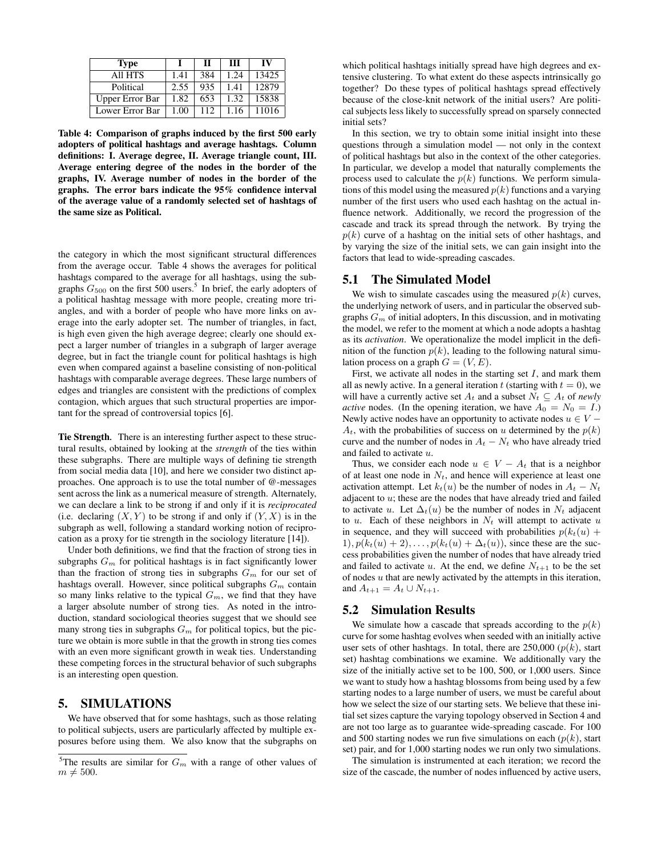| <b>Type</b>     |      | п   | Ш    | IV    |
|-----------------|------|-----|------|-------|
| All HTS         | 1.41 | 384 | 1.24 | 13425 |
| Political       | 2.55 | 935 | 1.41 | 12879 |
| Upper Error Bar | 1.82 | 653 | 1.32 | 15838 |
| Lower Error Bar | 1.00 | 112 | 1.16 | 11016 |

Table 4: Comparison of graphs induced by the first 500 early adopters of political hashtags and average hashtags. Column definitions: I. Average degree, II. Average triangle count, III. Average entering degree of the nodes in the border of the graphs, IV. Average number of nodes in the border of the graphs. The error bars indicate the 95% confidence interval of the average value of a randomly selected set of hashtags of the same size as Political.

the category in which the most significant structural differences from the average occur. Table 4 shows the averages for political hashtags compared to the average for all hashtags, using the subgraphs  $G_{500}$  on the first 500 users.<sup>5</sup> In brief, the early adopters of a political hashtag message with more people, creating more triangles, and with a border of people who have more links on average into the early adopter set. The number of triangles, in fact, is high even given the high average degree; clearly one should expect a larger number of triangles in a subgraph of larger average degree, but in fact the triangle count for political hashtags is high even when compared against a baseline consisting of non-political hashtags with comparable average degrees. These large numbers of edges and triangles are consistent with the predictions of complex contagion, which argues that such structural properties are important for the spread of controversial topics [6].

Tie Strength*.* There is an interesting further aspect to these structural results, obtained by looking at the *strength* of the ties within these subgraphs. There are multiple ways of defining tie strength from social media data [10], and here we consider two distinct approaches. One approach is to use the total number of @-messages sent across the link as a numerical measure of strength. Alternately, we can declare a link to be strong if and only if it is *reciprocated* (i.e. declaring  $(X, Y)$  to be strong if and only if  $(Y, X)$  is in the subgraph as well, following a standard working notion of reciprocation as a proxy for tie strength in the sociology literature [14]).

Under both definitions, we find that the fraction of strong ties in subgraphs  $G_m$  for political hashtags is in fact significantly lower than the fraction of strong ties in subgraphs  $G_m$  for our set of hashtags overall. However, since political subgraphs  $G_m$  contain so many links relative to the typical  $G_m$ , we find that they have a larger absolute number of strong ties. As noted in the introduction, standard sociological theories suggest that we should see many strong ties in subgraphs  $G_m$  for political topics, but the picture we obtain is more subtle in that the growth in strong ties comes with an even more significant growth in weak ties. Understanding these competing forces in the structural behavior of such subgraphs is an interesting open question.

#### 5. SIMULATIONS

We have observed that for some hashtags, such as those relating to political subjects, users are particularly affected by multiple exposures before using them. We also know that the subgraphs on which political hashtags initially spread have high degrees and extensive clustering. To what extent do these aspects intrinsically go together? Do these types of political hashtags spread effectively because of the close-knit network of the initial users? Are political subjects less likely to successfully spread on sparsely connected initial sets?

In this section, we try to obtain some initial insight into these questions through a simulation model — not only in the context of political hashtags but also in the context of the other categories. In particular, we develop a model that naturally complements the process used to calculate the  $p(k)$  functions. We perform simulations of this model using the measured  $p(k)$  functions and a varying number of the first users who used each hashtag on the actual influence network. Additionally, we record the progression of the cascade and track its spread through the network. By trying the  $p(k)$  curve of a hashtag on the initial sets of other hashtags, and by varying the size of the initial sets, we can gain insight into the factors that lead to wide-spreading cascades.

### 5.1 The Simulated Model

We wish to simulate cascades using the measured  $p(k)$  curves, the underlying network of users, and in particular the observed subgraphs  $G_m$  of initial adopters, In this discussion, and in motivating the model, we refer to the moment at which a node adopts a hashtag as its *activation*. We operationalize the model implicit in the definition of the function  $p(k)$ , leading to the following natural simulation process on a graph  $G = (V, E)$ .

First, we activate all nodes in the starting set  $I$ , and mark them all as newly active. In a general iteration t (starting with  $t = 0$ ), we will have a currently active set  $A_t$  and a subset  $N_t \subseteq A_t$  of *newly active* nodes. (In the opening iteration, we have  $A_0 = N_0 = I$ .) Newly active nodes have an opportunity to activate nodes  $u \in V A_t$ , with the probabilities of success on u determined by the  $p(k)$ curve and the number of nodes in  $A_t - N_t$  who have already tried and failed to activate u.

Thus, we consider each node  $u \in V - A_t$  that is a neighbor of at least one node in  $N_t$ , and hence will experience at least one activation attempt. Let  $k_t(u)$  be the number of nodes in  $A_t - N_t$ adjacent to  $u$ ; these are the nodes that have already tried and failed to activate u. Let  $\Delta_t(u)$  be the number of nodes in  $N_t$  adjacent to u. Each of these neighbors in  $N_t$  will attempt to activate u in sequence, and they will succeed with probabilities  $p(k_t(u) +$ 1),  $p(k_t(u) + 2), \ldots, p(k_t(u) + \Delta_t(u))$ , since these are the success probabilities given the number of nodes that have already tried and failed to activate u. At the end, we define  $N_{t+1}$  to be the set of nodes  $u$  that are newly activated by the attempts in this iteration, and  $A_{t+1} = A_t \cup N_{t+1}$ .

#### 5.2 Simulation Results

We simulate how a cascade that spreads according to the  $p(k)$ curve for some hashtag evolves when seeded with an initially active user sets of other hashtags. In total, there are  $250,000$  ( $p(k)$ , start set) hashtag combinations we examine. We additionally vary the size of the initially active set to be 100, 500, or 1,000 users. Since we want to study how a hashtag blossoms from being used by a few starting nodes to a large number of users, we must be careful about how we select the size of our starting sets. We believe that these initial set sizes capture the varying topology observed in Section 4 and are not too large as to guarantee wide-spreading cascade. For 100 and 500 starting nodes we run five simulations on each  $(p(k))$ , start set) pair, and for 1,000 starting nodes we run only two simulations.

The simulation is instrumented at each iteration; we record the size of the cascade, the number of nodes influenced by active users,

<sup>&</sup>lt;sup>5</sup>The results are similar for  $G_m$  with a range of other values of  $m \neq 500$ .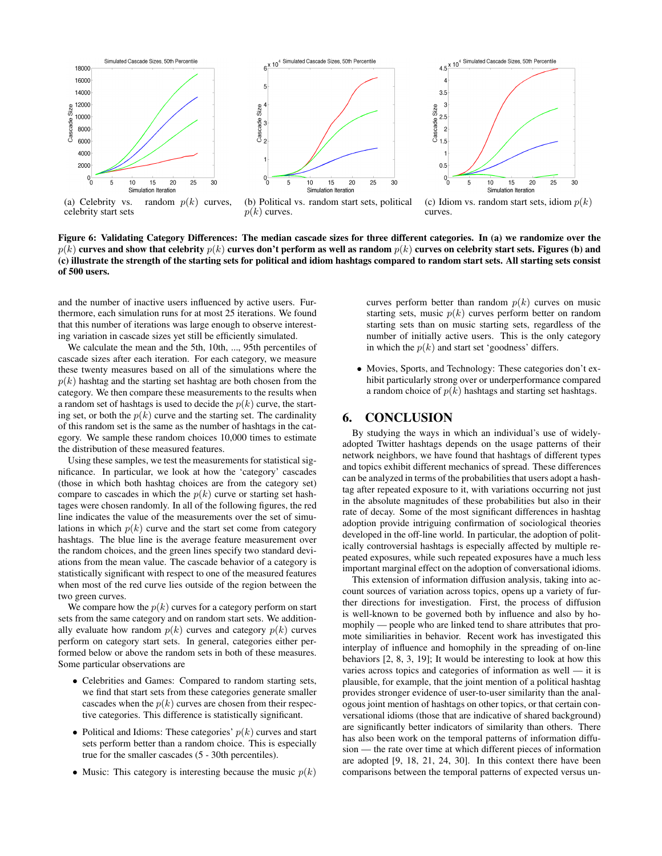



(b) Political vs. random start sets, political  $p(k)$  curves.

(c) Idiom vs. random start sets, idiom  $p(k)$ curves.

Figure 6: Validating Category Differences: The median cascade sizes for three different categories. In (a) we randomize over the  $p(k)$  curves and show that celebrity  $p(k)$  curves don't perform as well as random  $p(k)$  curves on celebrity start sets. Figures (b) and (c) illustrate the strength of the starting sets for political and idiom hashtags compared to random start sets. All starting sets consist of 500 users.

and the number of inactive users influenced by active users. Furthermore, each simulation runs for at most 25 iterations. We found that this number of iterations was large enough to observe interesting variation in cascade sizes yet still be efficiently simulated.

We calculate the mean and the 5th, 10th, ..., 95th percentiles of cascade sizes after each iteration. For each category, we measure these twenty measures based on all of the simulations where the  $p(k)$  hashtag and the starting set hashtag are both chosen from the category. We then compare these measurements to the results when a random set of hashtags is used to decide the  $p(k)$  curve, the starting set, or both the  $p(k)$  curve and the starting set. The cardinality of this random set is the same as the number of hashtags in the category. We sample these random choices 10,000 times to estimate the distribution of these measured features.

Using these samples, we test the measurements for statistical significance. In particular, we look at how the 'category' cascades (those in which both hashtag choices are from the category set) compare to cascades in which the  $p(k)$  curve or starting set hashtages were chosen randomly. In all of the following figures, the red line indicates the value of the measurements over the set of simulations in which  $p(k)$  curve and the start set come from category hashtags. The blue line is the average feature measurement over the random choices, and the green lines specify two standard deviations from the mean value. The cascade behavior of a category is statistically significant with respect to one of the measured features when most of the red curve lies outside of the region between the two green curves.

We compare how the  $p(k)$  curves for a category perform on start sets from the same category and on random start sets. We additionally evaluate how random  $p(k)$  curves and category  $p(k)$  curves perform on category start sets. In general, categories either performed below or above the random sets in both of these measures. Some particular observations are

- Celebrities and Games: Compared to random starting sets, we find that start sets from these categories generate smaller cascades when the  $p(k)$  curves are chosen from their respective categories. This difference is statistically significant.
- Political and Idioms: These categories'  $p(k)$  curves and start sets perform better than a random choice. This is especially true for the smaller cascades (5 - 30th percentiles).
- Music: This category is interesting because the music  $p(k)$

curves perform better than random  $p(k)$  curves on music starting sets, music  $p(k)$  curves perform better on random starting sets than on music starting sets, regardless of the number of initially active users. This is the only category in which the  $p(k)$  and start set 'goodness' differs.

• Movies, Sports, and Technology: These categories don't exhibit particularly strong over or underperformance compared a random choice of  $p(k)$  hashtags and starting set hashtags.

# 6. CONCLUSION

By studying the ways in which an individual's use of widelyadopted Twitter hashtags depends on the usage patterns of their network neighbors, we have found that hashtags of different types and topics exhibit different mechanics of spread. These differences can be analyzed in terms of the probabilities that users adopt a hashtag after repeated exposure to it, with variations occurring not just in the absolute magnitudes of these probabilities but also in their rate of decay. Some of the most significant differences in hashtag adoption provide intriguing confirmation of sociological theories developed in the off-line world. In particular, the adoption of politically controversial hashtags is especially affected by multiple repeated exposures, while such repeated exposures have a much less important marginal effect on the adoption of conversational idioms.

This extension of information diffusion analysis, taking into account sources of variation across topics, opens up a variety of further directions for investigation. First, the process of diffusion is well-known to be governed both by influence and also by homophily — people who are linked tend to share attributes that promote similiarities in behavior. Recent work has investigated this interplay of influence and homophily in the spreading of on-line behaviors [2, 8, 3, 19]; It would be interesting to look at how this varies across topics and categories of information as well — it is plausible, for example, that the joint mention of a political hashtag provides stronger evidence of user-to-user similarity than the analogous joint mention of hashtags on other topics, or that certain conversational idioms (those that are indicative of shared background) are significantly better indicators of similarity than others. There has also been work on the temporal patterns of information diffusion — the rate over time at which different pieces of information are adopted [9, 18, 21, 24, 30]. In this context there have been comparisons between the temporal patterns of expected versus un